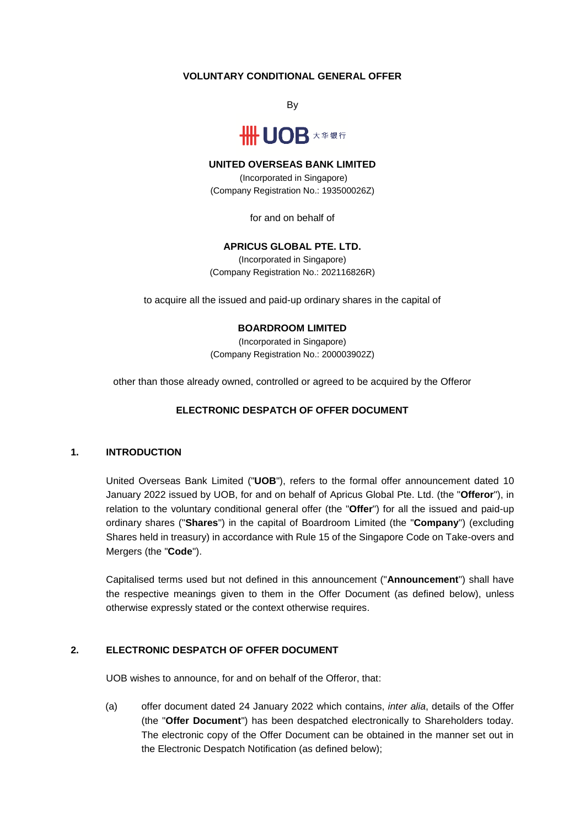# **VOLUNTARY CONDITIONAL GENERAL OFFER**

By



### **UNITED OVERSEAS BANK LIMITED**

(Incorporated in Singapore) (Company Registration No.: 193500026Z)

for and on behalf of

# **APRICUS GLOBAL PTE. LTD.**

(Incorporated in Singapore) (Company Registration No.: 202116826R)

to acquire all the issued and paid-up ordinary shares in the capital of

#### **BOARDROOM LIMITED**

(Incorporated in Singapore) (Company Registration No.: 200003902Z)

other than those already owned, controlled or agreed to be acquired by the Offeror

### **ELECTRONIC DESPATCH OF OFFER DOCUMENT**

#### **1. INTRODUCTION**

United Overseas Bank Limited ("**UOB**"), refers to the formal offer announcement dated 10 January 2022 issued by UOB, for and on behalf of Apricus Global Pte. Ltd. (the "**Offeror**"), in relation to the voluntary conditional general offer (the "**Offer**") for all the issued and paid-up ordinary shares ("**Shares**") in the capital of Boardroom Limited (the "**Company**") (excluding Shares held in treasury) in accordance with Rule 15 of the Singapore Code on Take-overs and Mergers (the "**Code**").

Capitalised terms used but not defined in this announcement ("**Announcement**") shall have the respective meanings given to them in the Offer Document (as defined below), unless otherwise expressly stated or the context otherwise requires.

# **2. ELECTRONIC DESPATCH OF OFFER DOCUMENT**

UOB wishes to announce, for and on behalf of the Offeror, that:

(a) offer document dated 24 January 2022 which contains, *inter alia*, details of the Offer (the "**Offer Document**") has been despatched electronically to Shareholders today. The electronic copy of the Offer Document can be obtained in the manner set out in the Electronic Despatch Notification (as defined below);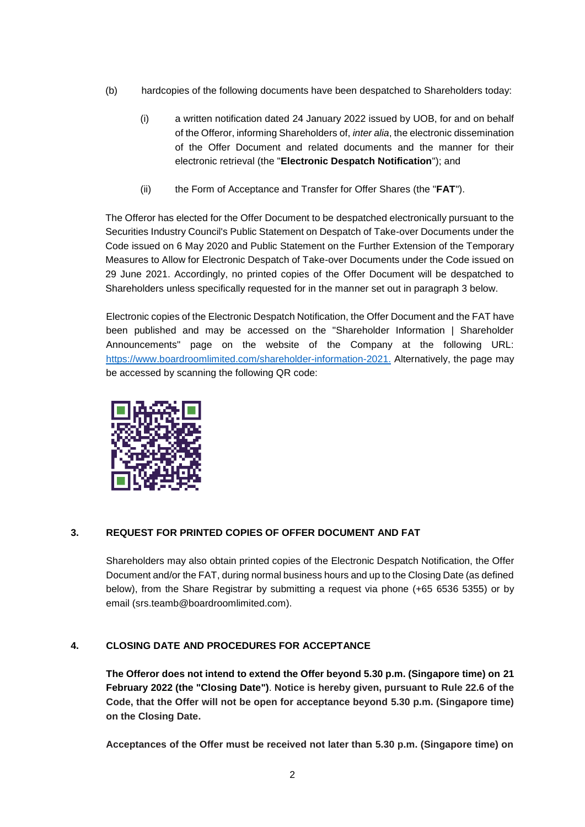- (b) hardcopies of the following documents have been despatched to Shareholders today:
	- (i) a written notification dated 24 January 2022 issued by UOB, for and on behalf of the Offeror, informing Shareholders of, *inter alia*, the electronic dissemination of the Offer Document and related documents and the manner for their electronic retrieval (the "**Electronic Despatch Notification**"); and
	- (ii) the Form of Acceptance and Transfer for Offer Shares (the "**FAT**").

The Offeror has elected for the Offer Document to be despatched electronically pursuant to the Securities Industry Council's Public Statement on Despatch of Take-over Documents under the Code issued on 6 May 2020 and Public Statement on the Further Extension of the Temporary Measures to Allow for Electronic Despatch of Take-over Documents under the Code issued on 29 June 2021. Accordingly, no printed copies of the Offer Document will be despatched to Shareholders unless specifically requested for in the manner set out in paragraph [3](#page-1-0) below.

Electronic copies of the Electronic Despatch Notification, the Offer Document and the FAT have been published and may be accessed on the "Shareholder Information | Shareholder Announcements" page on the website of the Company at the following URL: [https://www.boardroomlimited.com/shareholder-information-2021.](https://www.boardroomlimited.com/shareholder-information-2021) Alternatively, the page may be accessed by scanning the following QR code:



# <span id="page-1-0"></span>**3. REQUEST FOR PRINTED COPIES OF OFFER DOCUMENT AND FAT**

Shareholders may also obtain printed copies of the Electronic Despatch Notification, the Offer Document and/or the FAT, during normal business hours and up to the Closing Date (as defined below), from the Share Registrar by submitting a request via phone (+65 6536 5355) or by email (srs.teamb@boardroomlimited.com).

# **4. CLOSING DATE AND PROCEDURES FOR ACCEPTANCE**

**The Offeror does not intend to extend the Offer beyond 5.30 p.m. (Singapore time) on 21 February 2022 (the "Closing Date")**. **Notice is hereby given, pursuant to Rule 22.6 of the Code, that the Offer will not be open for acceptance beyond 5.30 p.m. (Singapore time) on the Closing Date.** 

**Acceptances of the Offer must be received not later than 5.30 p.m. (Singapore time) on**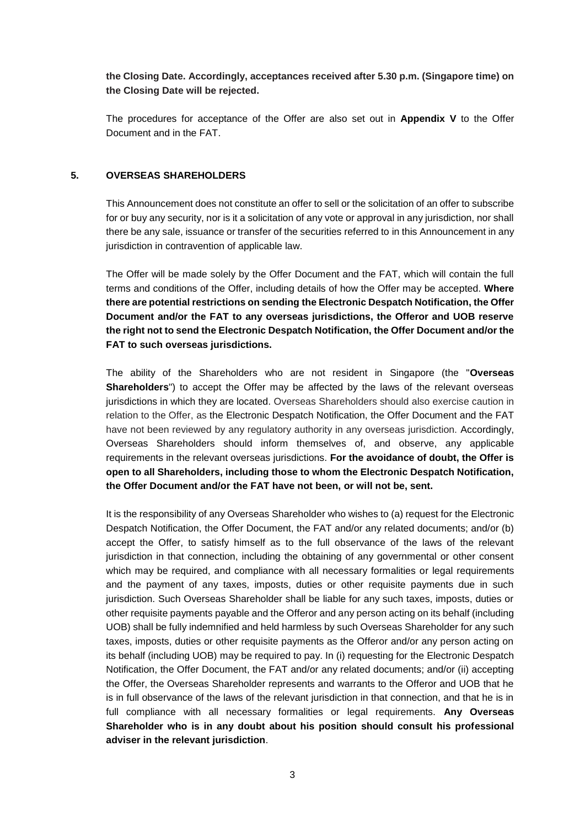**the Closing Date. Accordingly, acceptances received after 5.30 p.m. (Singapore time) on the Closing Date will be rejected.**

The procedures for acceptance of the Offer are also set out in **Appendix V** to the Offer Document and in the FAT.

## **5. OVERSEAS SHAREHOLDERS**

This Announcement does not constitute an offer to sell or the solicitation of an offer to subscribe for or buy any security, nor is it a solicitation of any vote or approval in any jurisdiction, nor shall there be any sale, issuance or transfer of the securities referred to in this Announcement in any jurisdiction in contravention of applicable law.

The Offer will be made solely by the Offer Document and the FAT, which will contain the full terms and conditions of the Offer, including details of how the Offer may be accepted. **Where there are potential restrictions on sending the Electronic Despatch Notification, the Offer Document and/or the FAT to any overseas jurisdictions, the Offeror and UOB reserve the right not to send the Electronic Despatch Notification, the Offer Document and/or the FAT to such overseas jurisdictions.**

The ability of the Shareholders who are not resident in Singapore (the "**Overseas Shareholders**") to accept the Offer may be affected by the laws of the relevant overseas jurisdictions in which they are located. Overseas Shareholders should also exercise caution in relation to the Offer, as the Electronic Despatch Notification, the Offer Document and the FAT have not been reviewed by any regulatory authority in any overseas jurisdiction. Accordingly, Overseas Shareholders should inform themselves of, and observe, any applicable requirements in the relevant overseas jurisdictions. **For the avoidance of doubt, the Offer is open to all Shareholders, including those to whom the Electronic Despatch Notification, the Offer Document and/or the FAT have not been, or will not be, sent.**

It is the responsibility of any Overseas Shareholder who wishes to (a) request for the Electronic Despatch Notification, the Offer Document, the FAT and/or any related documents; and/or (b) accept the Offer, to satisfy himself as to the full observance of the laws of the relevant jurisdiction in that connection, including the obtaining of any governmental or other consent which may be required, and compliance with all necessary formalities or legal requirements and the payment of any taxes, imposts, duties or other requisite payments due in such jurisdiction. Such Overseas Shareholder shall be liable for any such taxes, imposts, duties or other requisite payments payable and the Offeror and any person acting on its behalf (including UOB) shall be fully indemnified and held harmless by such Overseas Shareholder for any such taxes, imposts, duties or other requisite payments as the Offeror and/or any person acting on its behalf (including UOB) may be required to pay. In (i) requesting for the Electronic Despatch Notification, the Offer Document, the FAT and/or any related documents; and/or (ii) accepting the Offer, the Overseas Shareholder represents and warrants to the Offeror and UOB that he is in full observance of the laws of the relevant jurisdiction in that connection, and that he is in full compliance with all necessary formalities or legal requirements. **Any Overseas Shareholder who is in any doubt about his position should consult his professional adviser in the relevant jurisdiction**.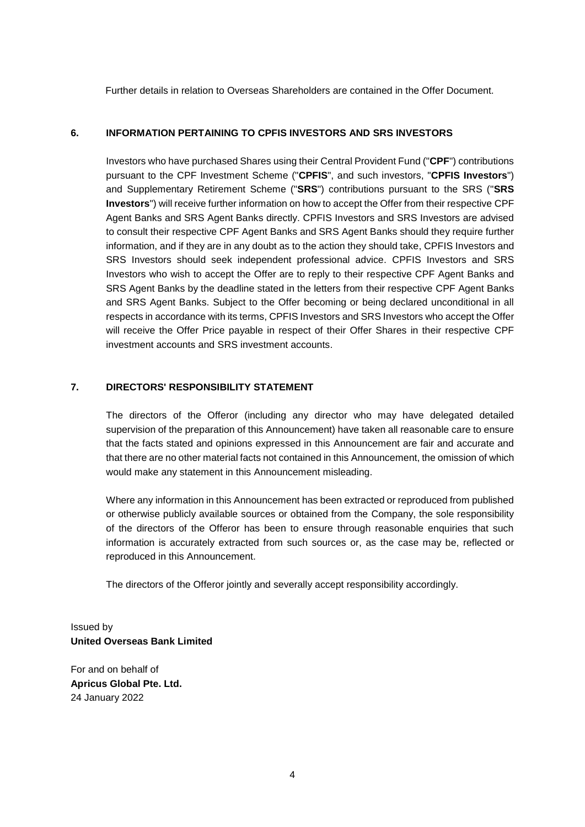Further details in relation to Overseas Shareholders are contained in the Offer Document.

# **6. INFORMATION PERTAINING TO CPFIS INVESTORS AND SRS INVESTORS**

Investors who have purchased Shares using their Central Provident Fund ("**CPF**") contributions pursuant to the CPF Investment Scheme ("**CPFIS**", and such investors, "**CPFIS Investors**") and Supplementary Retirement Scheme ("**SRS**") contributions pursuant to the SRS ("**SRS Investors**") will receive further information on how to accept the Offer from their respective CPF Agent Banks and SRS Agent Banks directly. CPFIS Investors and SRS Investors are advised to consult their respective CPF Agent Banks and SRS Agent Banks should they require further information, and if they are in any doubt as to the action they should take, CPFIS Investors and SRS Investors should seek independent professional advice. CPFIS Investors and SRS Investors who wish to accept the Offer are to reply to their respective CPF Agent Banks and SRS Agent Banks by the deadline stated in the letters from their respective CPF Agent Banks and SRS Agent Banks. Subject to the Offer becoming or being declared unconditional in all respects in accordance with its terms, CPFIS Investors and SRS Investors who accept the Offer will receive the Offer Price payable in respect of their Offer Shares in their respective CPF investment accounts and SRS investment accounts.

## **7. DIRECTORS' RESPONSIBILITY STATEMENT**

The directors of the Offeror (including any director who may have delegated detailed supervision of the preparation of this Announcement) have taken all reasonable care to ensure that the facts stated and opinions expressed in this Announcement are fair and accurate and that there are no other material facts not contained in this Announcement, the omission of which would make any statement in this Announcement misleading.

Where any information in this Announcement has been extracted or reproduced from published or otherwise publicly available sources or obtained from the Company, the sole responsibility of the directors of the Offeror has been to ensure through reasonable enquiries that such information is accurately extracted from such sources or, as the case may be, reflected or reproduced in this Announcement.

The directors of the Offeror jointly and severally accept responsibility accordingly.

Issued by **United Overseas Bank Limited**

For and on behalf of **Apricus Global Pte. Ltd.** 24 January 2022